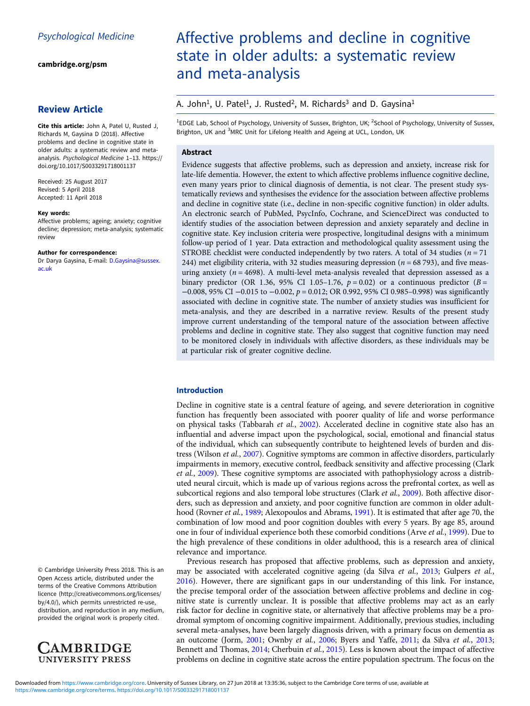[cambridge.org/psm](https://www.cambridge.org/psm)

# Review Article

Cite this article: John A, Patel U, Rusted J, Richards M, Gaysina D (2018). Affective problems and decline in cognitive state in older adults: a systematic review and metaanalysis. Psychological Medicine 1–13. [https://](https://doi.org/10.1017/S0033291718001137) [doi.org/10.1017/S0033291718001137](https://doi.org/10.1017/S0033291718001137)

Received: 25 August 2017 Revised: 5 April 2018 Accepted: 11 April 2018

#### Key words:

Affective problems; ageing; anxiety; cognitive decline; depression; meta-analysis; systematic review

#### Author for correspondence:

Dr Darya Gaysina, E-mail: [D.Gaysina@sussex.](mailto:D.Gaysina@sussex.ac.uk) [ac.uk](mailto:D.Gaysina@sussex.ac.uk)

© Cambridge University Press 2018. This is an Open Access article, distributed under the terms of the Creative Commons Attribution licence (http://creativecommons.org/licenses/ by/4.0/), which permits unrestricted re-use, distribution, and reproduction in any medium, provided the original work is properly cited.



# Affective problems and decline in cognitive state in older adults: a systematic review and meta-analysis

# A. John<sup>1</sup>, U. Patel<sup>1</sup>, J. Rusted<sup>2</sup>, M. Richards<sup>3</sup> and D. Gaysina<sup>1</sup>

<sup>1</sup>EDGE Lab, School of Psychology, University of Sussex, Brighton, UK; <sup>2</sup>School of Psychology, University of Sussex, Brighton, UK and <sup>3</sup>MRC Unit for Lifelong Health and Ageing at UCL, London, UK

# Abstract

Evidence suggests that affective problems, such as depression and anxiety, increase risk for late-life dementia. However, the extent to which affective problems influence cognitive decline, even many years prior to clinical diagnosis of dementia, is not clear. The present study systematically reviews and synthesises the evidence for the association between affective problems and decline in cognitive state (i.e., decline in non-specific cognitive function) in older adults. An electronic search of PubMed, PsycInfo, Cochrane, and ScienceDirect was conducted to identify studies of the association between depression and anxiety separately and decline in cognitive state. Key inclusion criteria were prospective, longitudinal designs with a minimum follow-up period of 1 year. Data extraction and methodological quality assessment using the STROBE checklist were conducted independently by two raters. A total of 34 studies ( $n = 71$ ) 244) met eligibility criteria, with 32 studies measuring depression ( $n = 68,793$ ), and five measuring anxiety ( $n = 4698$ ). A multi-level meta-analysis revealed that depression assessed as a binary predictor (OR 1.36, 95% CI 1.05–1.76,  $p = 0.02$ ) or a continuous predictor ( $B =$ −0.008, 95% CI −0.015 to −0.002, p = 0.012; OR 0.992, 95% CI 0.985–0.998) was significantly associated with decline in cognitive state. The number of anxiety studies was insufficient for meta-analysis, and they are described in a narrative review. Results of the present study improve current understanding of the temporal nature of the association between affective problems and decline in cognitive state. They also suggest that cognitive function may need to be monitored closely in individuals with affective disorders, as these individuals may be at particular risk of greater cognitive decline.

# Introduction

Decline in cognitive state is a central feature of ageing, and severe deterioration in cognitive function has frequently been associated with poorer quality of life and worse performance on physical tasks (Tabbarah et al., [2002\)](#page-12-0). Accelerated decline in cognitive state also has an influential and adverse impact upon the psychological, social, emotional and financial status of the individual, which can subsequently contribute to heightened levels of burden and distress (Wilson et al., [2007](#page-12-0)). Cognitive symptoms are common in affective disorders, particularly impairments in memory, executive control, feedback sensitivity and affective processing (Clark et al., [2009\)](#page-11-0). These cognitive symptoms are associated with pathophysiology across a distributed neural circuit, which is made up of various regions across the prefrontal cortex, as well as subcortical regions and also temporal lobe structures (Clark *et al.*, [2009](#page-11-0)). Both affective disorders, such as depression and anxiety, and poor cognitive function are common in older adulthood (Rovner *et al.*, [1989](#page-12-0); Alexopoulos and Abrams, [1991\)](#page-10-0). It is estimated that after age 70, the combination of low mood and poor cognition doubles with every 5 years. By age 85, around one in four of individual experience both these comorbid conditions (Arve et al., [1999](#page-10-0)). Due to the high prevalence of these conditions in older adulthood, this is a research area of clinical relevance and importance.

Previous research has proposed that affective problems, such as depression and anxiety, may be associated with accelerated cognitive ageing (da Silva et al., [2013;](#page-11-0) Gulpers et al., [2016\)](#page-11-0). However, there are significant gaps in our understanding of this link. For instance, the precise temporal order of the association between affective problems and decline in cognitive state is currently unclear. It is possible that affective problems may act as an early risk factor for decline in cognitive state, or alternatively that affective problems may be a prodromal symptom of oncoming cognitive impairment. Additionally, previous studies, including several meta-analyses, have been largely diagnosis driven, with a primary focus on dementia as an outcome (Jorm, [2001](#page-11-0); Ownby et al., [2006;](#page-12-0) Byers and Yaffe, [2011;](#page-11-0) da Silva et al., [2013](#page-11-0); Bennett and Thomas, [2014;](#page-10-0) Cherbuin et al., [2015\)](#page-11-0). Less is known about the impact of affective problems on decline in cognitive state across the entire population spectrum. The focus on the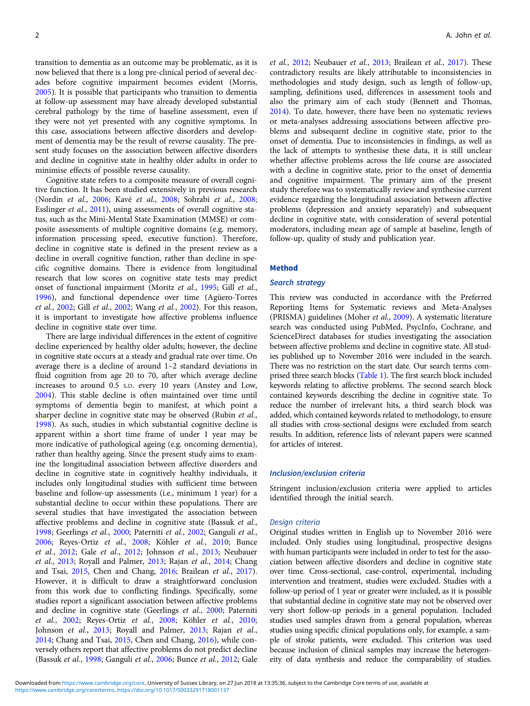transition to dementia as an outcome may be problematic, as it is now believed that there is a long pre-clinical period of several decades before cognitive impairment becomes evident (Morris, [2005\)](#page-11-0). It is possible that participants who transition to dementia at follow-up assessment may have already developed substantial cerebral pathology by the time of baseline assessment, even if they were not yet presented with any cognitive symptoms. In this case, associations between affective disorders and development of dementia may be the result of reverse causality. The present study focuses on the association between affective disorders and decline in cognitive state in healthy older adults in order to minimise effects of possible reverse causality.

Cognitive state refers to a composite measure of overall cognitive function. It has been studied extensively in previous research (Nordin et al., [2006](#page-11-0); Kavé et al., [2008;](#page-11-0) Sohrabi et al., [2008](#page-12-0); Esslinger et al., [2011](#page-11-0)), using assessments of overall cognitive status, such as the Mini-Mental State Examination (MMSE) or composite assessments of multiple cognitive domains (e.g. memory, information processing speed, executive function). Therefore, decline in cognitive state is defined in the present review as a decline in overall cognitive function, rather than decline in specific cognitive domains. There is evidence from longitudinal research that low scores on cognitive state tests may predict onset of functional impairment (Moritz et al., [1995;](#page-11-0) Gill et al., [1996\)](#page-11-0), and functional dependence over time (Agüero-Torres et al., [2002](#page-10-0); Gill et al., [2002](#page-11-0); Wang et al., [2002](#page-12-0)). For this reason, it is important to investigate how affective problems influence decline in cognitive state over time.

There are large individual differences in the extent of cognitive decline experienced by healthy older adults; however, the decline in cognitive state occurs at a steady and gradual rate over time. On average there is a decline of around 1–2 standard deviations in fluid cognition from age 20 to 70, after which average decline increases to around 0.5 S.D. every 10 years (Anstey and Low, [2004\)](#page-10-0). This stable decline is often maintained over time until symptoms of dementia begin to manifest, at which point a sharper decline in cognitive state may be observed (Rubin et al., [1998\)](#page-12-0). As such, studies in which substantial cognitive decline is apparent within a short time frame of under 1 year may be more indicative of pathological ageing (e.g. oncoming dementia), rather than healthy ageing. Since the present study aims to examine the longitudinal association between affective disorders and decline in cognitive state in cognitively healthy individuals, it includes only longitudinal studies with sufficient time between baseline and follow-up assessments (i.e., minimum 1 year) for a substantial decline to occur within these populations. There are several studies that have investigated the association between affective problems and decline in cognitive state (Bassuk et al., [1998;](#page-10-0) Geerlings et al., [2000](#page-11-0); Paterniti et al., [2002](#page-12-0); Ganguli et al., [2006;](#page-11-0) Reyes-Ortiz et al., [2008;](#page-12-0) Köhler et al., [2010;](#page-11-0) Bunce et al., [2012;](#page-10-0) Gale et al., [2012;](#page-11-0) Johnson et al., [2013](#page-11-0); Neubauer et al., [2013;](#page-11-0) Royall and Palmer, [2013](#page-12-0); Rajan et al., [2014](#page-12-0); Chang and Tsai, [2015,](#page-11-0) Chen and Chang, [2016;](#page-11-0) Brailean et al., [2017\)](#page-10-0). However, it is difficult to draw a straightforward conclusion from this work due to conflicting findings. Specifically, some studies report a significant association between affective problems and decline in cognitive state (Geerlings et al., [2000](#page-11-0); Paterniti et al., [2002;](#page-12-0) Reyes-Ortiz et al., [2008](#page-12-0); Köhler et al., [2010](#page-11-0); Johnson et al., [2013](#page-11-0); Royall and Palmer, [2013;](#page-12-0) Rajan et al., [2014;](#page-12-0) Chang and Tsai, [2015](#page-11-0), Chen and Chang, [2016](#page-11-0)), while conversely others report that affective problems do not predict decline (Bassuk et al., [1998;](#page-10-0) Ganguli et al., [2006;](#page-11-0) Bunce et al., [2012;](#page-10-0) Gale

et al., [2012;](#page-11-0) Neubauer et al., [2013](#page-11-0); Brailean et al., [2017](#page-10-0)). These contradictory results are likely attributable to inconsistencies in methodologies and study design, such as length of follow-up, sampling, definitions used, differences in assessment tools and also the primary aim of each study (Bennett and Thomas, [2014\)](#page-10-0). To date, however, there have been no systematic reviews or meta-analyses addressing associations between affective problems and subsequent decline in cognitive state, prior to the onset of dementia. Due to inconsistencies in findings, as well as the lack of attempts to synthesise these data, it is still unclear whether affective problems across the life course are associated with a decline in cognitive state, prior to the onset of dementia and cognitive impairment. The primary aim of the present study therefore was to systematically review and synthesise current evidence regarding the longitudinal association between affective problems (depression and anxiety separately) and subsequent decline in cognitive state, with consideration of several potential moderators, including mean age of sample at baseline, length of follow-up, quality of study and publication year.

### Method

## Search strategy

This review was conducted in accordance with the Preferred Reporting Items for Systematic reviews and Meta-Analyses (PRISMA) guidelines (Moher et al., [2009](#page-11-0)). A systematic literature search was conducted using PubMed, PsycInfo, Cochrane, and ScienceDirect databases for studies investigating the association between affective problems and decline in cognitive state. All studies published up to November 2016 were included in the search. There was no restriction on the start date. Our search terms comprised three search blocks [\(Table 1](#page-2-0)). The first search block included keywords relating to affective problems. The second search block contained keywords describing the decline in cognitive state. To reduce the number of irrelevant hits, a third search block was added, which contained keywords related to methodology, to ensure all studies with cross-sectional designs were excluded from search results. In addition, reference lists of relevant papers were scanned for articles of interest.

#### Inclusion/exclusion criteria

Stringent inclusion/exclusion criteria were applied to articles identified through the initial search.

## Desian criteria

Original studies written in English up to November 2016 were included. Only studies using longitudinal, prospective designs with human participants were included in order to test for the association between affective disorders and decline in cognitive state over time. Cross-sectional, case-control, experimental, including intervention and treatment, studies were excluded. Studies with a follow-up period of 1 year or greater were included, as it is possible that substantial decline in cognitive state may not be observed over very short follow-up periods in a general population. Included studies used samples drawn from a general population, whereas studies using specific clinical populations only, for example, a sample of stroke patients, were excluded. This criterion was used because inclusion of clinical samples may increase the heterogeneity of data synthesis and reduce the comparability of studies.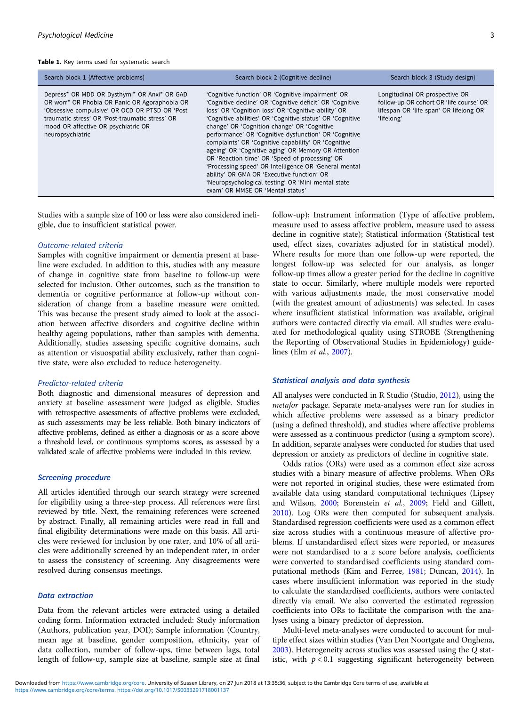#### <span id="page-2-0"></span>Table 1. Key terms used for systematic search

| Search block 1 (Affective problems)                                                                                                                                                                                                                           | Search block 2 (Cognitive decline)                                                                                                                                                                                                                                                                                                                                                                                                                                                                                                                                                                                                                                                                         | Search block 3 (Study design)                                                                                                     |
|---------------------------------------------------------------------------------------------------------------------------------------------------------------------------------------------------------------------------------------------------------------|------------------------------------------------------------------------------------------------------------------------------------------------------------------------------------------------------------------------------------------------------------------------------------------------------------------------------------------------------------------------------------------------------------------------------------------------------------------------------------------------------------------------------------------------------------------------------------------------------------------------------------------------------------------------------------------------------------|-----------------------------------------------------------------------------------------------------------------------------------|
| Depress* OR MDD OR Dysthymi* OR Anxi* OR GAD<br>OR worr* OR Phobia OR Panic OR Agoraphobia OR<br>'Obsessive compulsive' OR OCD OR PTSD OR 'Post<br>traumatic stress' OR 'Post-traumatic stress' OR<br>mood OR affective OR psychiatric OR<br>neuropsychiatric | 'Cognitive function' OR 'Cognitive impairment' OR<br>'Cognitive decline' OR 'Cognitive deficit' OR 'Cognitive<br>loss' OR 'Cognition loss' OR 'Cognitive ability' OR<br>'Cognitive abilities' OR 'Cognitive status' OR 'Cognitive<br>change' OR 'Cognition change' OR 'Cognitive<br>performance' OR 'Cognitive dysfunction' OR 'Cognitive<br>complaints' OR 'Cognitive capability' OR 'Cognitive<br>ageing' OR 'Cognitive aging' OR Memory OR Attention<br>OR 'Reaction time' OR 'Speed of processing' OR<br>'Processing speed' OR Intelligence OR 'General mental<br>ability' OR GMA OR 'Executive function' OR<br>'Neuropsychological testing' OR 'Mini mental state<br>exam' OR MMSE OR 'Mental status' | Longitudinal OR prospective OR<br>follow-up OR cohort OR 'life course' OR<br>lifespan OR 'life span' OR lifelong OR<br>'lifelong' |

Studies with a sample size of 100 or less were also considered ineligible, due to insufficient statistical power.

## Outcome-related criteria

Samples with cognitive impairment or dementia present at baseline were excluded. In addition to this, studies with any measure of change in cognitive state from baseline to follow-up were selected for inclusion. Other outcomes, such as the transition to dementia or cognitive performance at follow-up without consideration of change from a baseline measure were omitted. This was because the present study aimed to look at the association between affective disorders and cognitive decline within healthy ageing populations, rather than samples with dementia. Additionally, studies assessing specific cognitive domains, such as attention or visuospatial ability exclusively, rather than cognitive state, were also excluded to reduce heterogeneity.

## Predictor-related criteria

Both diagnostic and dimensional measures of depression and anxiety at baseline assessment were judged as eligible. Studies with retrospective assessments of affective problems were excluded, as such assessments may be less reliable. Both binary indicators of affective problems, defined as either a diagnosis or as a score above a threshold level, or continuous symptoms scores, as assessed by a validated scale of affective problems were included in this review.

# Screening procedure

All articles identified through our search strategy were screened for eligibility using a three-step process. All references were first reviewed by title. Next, the remaining references were screened by abstract. Finally, all remaining articles were read in full and final eligibility determinations were made on this basis. All articles were reviewed for inclusion by one rater, and 10% of all articles were additionally screened by an independent rater, in order to assess the consistency of screening. Any disagreements were resolved during consensus meetings.

# Data extraction

Data from the relevant articles were extracted using a detailed coding form. Information extracted included: Study information (Authors, publication year, DOI); Sample information (Country, mean age at baseline, gender composition, ethnicity, year of data collection, number of follow-ups, time between lags, total length of follow-up, sample size at baseline, sample size at final

follow-up); Instrument information (Type of affective problem, measure used to assess affective problem, measure used to assess decline in cognitive state); Statistical information (Statistical test used, effect sizes, covariates adjusted for in statistical model). Where results for more than one follow-up were reported, the longest follow-up was selected for our analysis, as longer follow-up times allow a greater period for the decline in cognitive state to occur. Similarly, where multiple models were reported with various adjustments made, the most conservative model (with the greatest amount of adjustments) was selected. In cases where insufficient statistical information was available, original authors were contacted directly via email. All studies were evaluated for methodological quality using STROBE (Strengthening the Reporting of Observational Studies in Epidemiology) guidelines (Elm et al., [2007](#page-11-0)).

## Statistical analysis and data synthesis

All analyses were conducted in R Studio (Studio, [2012\)](#page-12-0), using the metafor package. Separate meta-analyses were run for studies in which affective problems were assessed as a binary predictor (using a defined threshold), and studies where affective problems were assessed as a continuous predictor (using a symptom score). In addition, separate analyses were conducted for studies that used depression or anxiety as predictors of decline in cognitive state.

Odds ratios (ORs) were used as a common effect size across studies with a binary measure of affective problems. When ORs were not reported in original studies, these were estimated from available data using standard computational techniques (Lipsey and Wilson, [2000;](#page-11-0) Borenstein et al., [2009;](#page-10-0) Field and Gillett, [2010](#page-11-0)). Log ORs were then computed for subsequent analysis. Standardised regression coefficients were used as a common effect size across studies with a continuous measure of affective problems. If unstandardised effect sizes were reported, or measures were not standardised to a z score before analysis, coefficients were converted to standardised coefficients using standard computational methods (Kim and Ferree, [1981;](#page-11-0) Duncan, [2014\)](#page-11-0). In cases where insufficient information was reported in the study to calculate the standardised coefficients, authors were contacted directly via email. We also converted the estimated regression coefficients into ORs to facilitate the comparison with the analyses using a binary predictor of depression.

Multi-level meta-analyses were conducted to account for multiple effect sizes within studies (Van Den Noortgate and Onghena, [2003](#page-12-0)). Heterogeneity across studies was assessed using the Q statistic, with  $p < 0.1$  suggesting significant heterogeneity between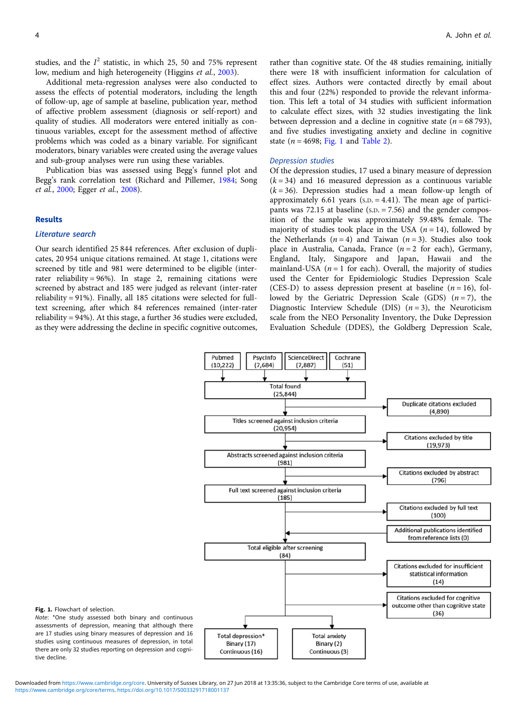studies, and the  $I^2$  statistic, in which 25, 50 and 75% represent low, medium and high heterogeneity (Higgins et al., [2003](#page-11-0)).

Additional meta-regression analyses were also conducted to assess the effects of potential moderators, including the length of follow-up, age of sample at baseline, publication year, method of affective problem assessment (diagnosis or self-report) and quality of studies. All moderators were entered initially as continuous variables, except for the assessment method of affective problems which was coded as a binary variable. For significant moderators, binary variables were created using the average values and sub-group analyses were run using these variables.

Publication bias was assessed using Begg's funnel plot and Begg's rank correlation test (Richard and Pillemer, [1984](#page-11-0); Song et al., [2000](#page-12-0); Egger et al., [2008](#page-11-0)).

# Results

# Literature search

Our search identified 25 844 references. After exclusion of duplicates, 20 954 unique citations remained. At stage 1, citations were screened by title and 981 were determined to be eligible (interrater reliability = 96%). In stage 2, remaining citations were screened by abstract and 185 were judged as relevant (inter-rater reliability = 91%). Finally, all 185 citations were selected for fulltext screening, after which 84 references remained (inter-rater reliability = 94%). At this stage, a further 36 studies were excluded, as they were addressing the decline in specific cognitive outcomes, rather than cognitive state. Of the 48 studies remaining, initially there were 18 with insufficient information for calculation of effect sizes. Authors were contacted directly by email about this and four (22%) responded to provide the relevant information. This left a total of 34 studies with sufficient information to calculate effect sizes, with 32 studies investigating the link between depression and a decline in cognitive state ( $n = 68793$ ), and five studies investigating anxiety and decline in cognitive state ( $n = 4698$ ; Fig. 1 and [Table 2](#page-4-0)).

## Depression studies

Of the depression studies, 17 used a binary measure of depression  $(k = 34)$  and 16 measured depression as a continuous variable  $(k = 36)$ . Depression studies had a mean follow-up length of approximately  $6.61$  years  $(s.D. = 4.41)$ . The mean age of participants was  $72.15$  at baseline (s.p. = 7.56) and the gender composition of the sample was approximately 59.48% female. The majority of studies took place in the USA ( $n = 14$ ), followed by the Netherlands  $(n = 4)$  and Taiwan  $(n = 3)$ . Studies also took place in Australia, Canada, France  $(n = 2$  for each), Germany, England, Italy, Singapore and Japan, Hawaii and the mainland-USA ( $n = 1$  for each). Overall, the majority of studies used the Center for Epidemiologic Studies Depression Scale (CES-D) to assess depression present at baseline  $(n = 16)$ , followed by the Geriatric Depression Scale (GDS)  $(n=7)$ , the Diagnostic Interview Schedule (DIS)  $(n=3)$ , the Neuroticism scale from the NEO Personality Inventory, the Duke Depression Evaluation Schedule (DDES), the Goldberg Depression Scale,



Fig. 1. Flowchart of selection.

Note: \*One study assessed both binary and continuous assessments of depression, meaning that although there are 17 studies using binary measures of depression and 16 studies using continuous measures of depression, in total there are only 32 studies reporting on depression and cognitive decline.

[https://www.cambridge.org/core/terms.](https://www.cambridge.org/core/terms) <https://doi.org/10.1017/S0033291718001137> Downloaded from [https://www.cambridge.org/core.](https://www.cambridge.org/core) University of Sussex Library, on 27 Jun 2018 at 13:35:36, subject to the Cambridge Core terms of use, available at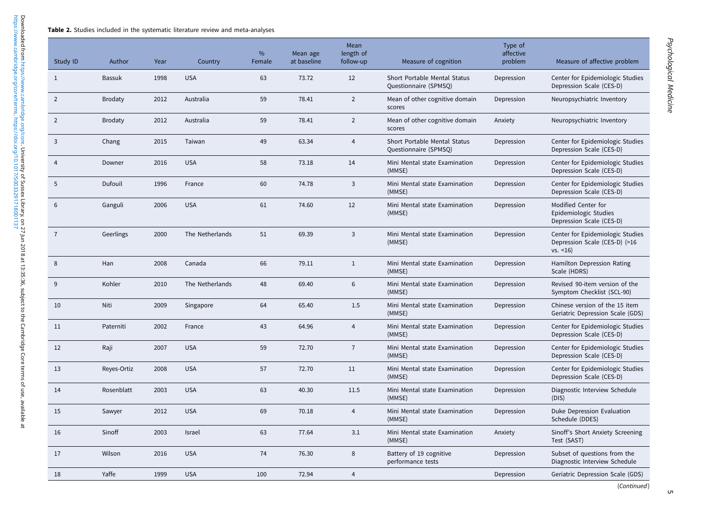## <span id="page-4-0"></span>**Table 2.** Studies included in the systematic literature review and meta-analyses

| Study ID       | Author         | Year | Country         | %<br>Female | Mean age<br>at baseline | Mean<br>length of<br>follow-up | Measure of cognition                                  | Type of<br>affective<br>problem | Measure of affective problem                                                      |
|----------------|----------------|------|-----------------|-------------|-------------------------|--------------------------------|-------------------------------------------------------|---------------------------------|-----------------------------------------------------------------------------------|
| $\mathbf{1}$   | <b>Bassuk</b>  | 1998 | <b>USA</b>      | 63          | 73.72                   | 12                             | Short Portable Mental Status<br>Questionnaire (SPMSQ) | Depression                      | Center for Epidemiologic Studies<br>Depression Scale (CES-D)                      |
| $\overline{2}$ | <b>Brodaty</b> | 2012 | Australia       | 59          | 78.41                   | $\overline{2}$                 | Mean of other cognitive domain<br>scores              | Depression                      | Neuropsychiatric Inventory                                                        |
| $\overline{2}$ | <b>Brodaty</b> | 2012 | Australia       | 59          | 78.41                   | $\overline{2}$                 | Mean of other cognitive domain<br>scores              | Anxiety                         | Neuropsychiatric Inventory                                                        |
| 3              | Chang          | 2015 | Taiwan          | 49          | 63.34                   | $\overline{4}$                 | Short Portable Mental Status<br>Questionnaire (SPMSQ) | Depression                      | Center for Epidemiologic Studies<br>Depression Scale (CES-D)                      |
| 4              | Downer         | 2016 | <b>USA</b>      | 58          | 73.18                   | 14                             | Mini Mental state Examination<br>(MMSE)               | Depression                      | Center for Epidemiologic Studies<br>Depression Scale (CES-D)                      |
| 5              | Dufouil        | 1996 | France          | 60          | 74.78                   | $\overline{3}$                 | Mini Mental state Examination<br>(MMSE)               | Depression                      | Center for Epidemiologic Studies<br>Depression Scale (CES-D)                      |
| 6              | Ganguli        | 2006 | <b>USA</b>      | 61          | 74.60                   | 12                             | Mini Mental state Examination<br>(MMSE)               | Depression                      | Modified Center for<br>Epidemiologic Studies<br>Depression Scale (CES-D)          |
| $\overline{7}$ | Geerlings      | 2000 | The Netherlands | 51          | 69.39                   | $\overline{3}$                 | Mini Mental state Examination<br>(MMSE)               | Depression                      | Center for Epidemiologic Studies<br>Depression Scale (CES-D) (>16<br>$vs. < 16$ ) |
| 8              | Han            | 2008 | Canada          | 66          | 79.11                   | $\mathbf{1}$                   | Mini Mental state Examination<br>(MMSE)               | Depression                      | Hamilton Depression Rating<br>Scale (HDRS)                                        |
| 9              | Kohler         | 2010 | The Netherlands | 48          | 69.40                   | 6                              | Mini Mental state Examination<br>(MMSE)               | Depression                      | Revised 90-item version of the<br>Symptom Checklist (SCL-90)                      |
| 10             | Niti           | 2009 | Singapore       | 64          | 65.40                   | 1.5                            | Mini Mental state Examination<br>(MMSE)               | Depression                      | Chinese version of the 15 item<br>Geriatric Depression Scale (GDS)                |
| 11             | Paterniti      | 2002 | France          | 43          | 64.96                   | $\overline{4}$                 | Mini Mental state Examination<br>(MMSE)               | Depression                      | Center for Epidemiologic Studies<br>Depression Scale (CES-D)                      |
| 12             | Raji           | 2007 | <b>USA</b>      | 59          | 72.70                   | $\overline{7}$                 | Mini Mental state Examination<br>(MMSE)               | Depression                      | Center for Epidemiologic Studies<br>Depression Scale (CES-D)                      |
| 13             | Reyes-Ortiz    | 2008 | <b>USA</b>      | 57          | 72.70                   | 11                             | Mini Mental state Examination<br>(MMSE)               | Depression                      | Center for Epidemiologic Studies<br>Depression Scale (CES-D)                      |
| 14             | Rosenblatt     | 2003 | <b>USA</b>      | 63          | 40.30                   | 11.5                           | Mini Mental state Examination<br>(MMSE)               | Depression                      | Diagnostic Interview Schedule<br>(DIS)                                            |
| 15             | Sawyer         | 2012 | <b>USA</b>      | 69          | 70.18                   | $\overline{4}$                 | Mini Mental state Examination<br>(MMSE)               | Depression                      | Duke Depression Evaluation<br>Schedule (DDES)                                     |
| 16             | Sinoff         | 2003 | Israel          | 63          | 77.64                   | 3.1                            | Mini Mental state Examination<br>(MMSE)               | Anxiety                         | Sinoff's Short Anxiety Screening<br>Test (SAST)                                   |
| 17             | Wilson         | 2016 | <b>USA</b>      | 74          | 76.30                   | 8                              | Battery of 19 cognitive<br>performance tests          | Depression                      | Subset of questions from the<br>Diagnostic Interview Schedule                     |
| 18             | Yaffe          | 1999 | <b>USA</b>      | 100         | 72.94                   | $\overline{4}$                 |                                                       | Depression                      | Geriatric Depression Scale (GDS)                                                  |

۰

٠

(Continued)

5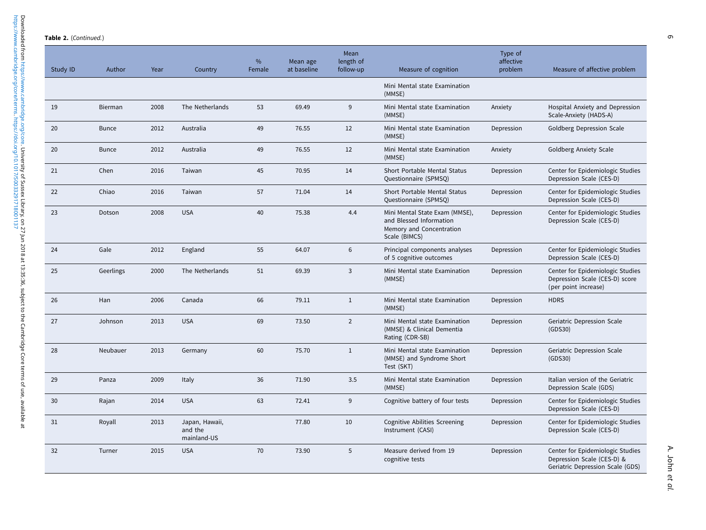| Study ID | Author       | Year | Country                                  | $\%$<br>Female | Mean age<br>at baseline | Mean<br>length of<br>follow-up | Measure of cognition                                                                                   | Type of<br>affective<br>problem | Measure of affective problem                                                                       |
|----------|--------------|------|------------------------------------------|----------------|-------------------------|--------------------------------|--------------------------------------------------------------------------------------------------------|---------------------------------|----------------------------------------------------------------------------------------------------|
|          |              |      |                                          |                |                         |                                | Mini Mental state Examination<br>(MMSE)                                                                |                                 |                                                                                                    |
| 19       | Bierman      | 2008 | The Netherlands                          | 53             | 69.49                   | 9                              | Mini Mental state Examination<br>(MMSE)                                                                | Anxiety                         | Hospital Anxiety and Depression<br>Scale-Anxiety (HADS-A)                                          |
| 20       | <b>Bunce</b> | 2012 | Australia                                | 49             | 76.55                   | 12                             | Mini Mental state Examination<br>(MMSE)                                                                | Depression                      | Goldberg Depression Scale                                                                          |
| 20       | <b>Bunce</b> | 2012 | Australia                                | 49             | 76.55                   | 12                             | Mini Mental state Examination<br>(MMSE)                                                                | Anxiety                         | Goldberg Anxiety Scale                                                                             |
| 21       | Chen         | 2016 | Taiwan                                   | 45             | 70.95                   | 14                             | Short Portable Mental Status<br>Questionnaire (SPMSQ)                                                  | Depression                      | Center for Epidemiologic Studies<br>Depression Scale (CES-D)                                       |
| 22       | Chiao        | 2016 | Taiwan                                   | 57             | 71.04                   | 14                             | Short Portable Mental Status<br>Questionnaire (SPMSQ)                                                  | Depression                      | Center for Epidemiologic Studies<br>Depression Scale (CES-D)                                       |
| 23       | Dotson       | 2008 | <b>USA</b>                               | 40             | 75.38                   | 4.4                            | Mini Mental State Exam (MMSE),<br>and Blessed Information<br>Memory and Concentration<br>Scale (BIMCS) | Depression                      | Center for Epidemiologic Studies<br>Depression Scale (CES-D)                                       |
| 24       | Gale         | 2012 | England                                  | 55             | 64.07                   | 6                              | Principal components analyses<br>of 5 cognitive outcomes                                               | Depression                      | Center for Epidemiologic Studies<br>Depression Scale (CES-D)                                       |
| 25       | Geerlings    | 2000 | The Netherlands                          | 51             | 69.39                   | 3                              | Mini Mental state Examination<br>(MMSE)                                                                | Depression                      | Center for Epidemiologic Studies<br>Depression Scale (CES-D) score<br>(per point increase)         |
| 26       | Han          | 2006 | Canada                                   | 66             | 79.11                   | $\mathbf{1}$                   | Mini Mental state Examination<br>(MMSE)                                                                | Depression                      | <b>HDRS</b>                                                                                        |
| 27       | Johnson      | 2013 | <b>USA</b>                               | 69             | 73.50                   | $\overline{2}$                 | Mini Mental state Examination<br>(MMSE) & Clinical Dementia<br>Rating (CDR-SB)                         | Depression                      | Geriatric Depression Scale<br>(GDS30)                                                              |
| 28       | Neubauer     | 2013 | Germany                                  | 60             | 75.70                   | $\mathbf{1}$                   | Mini Mental state Examination<br>(MMSE) and Syndrome Short<br>Test (SKT)                               | Depression                      | Geriatric Depression Scale<br>(GDS30)                                                              |
| 29       | Panza        | 2009 | Italy                                    | 36             | 71.90                   | 3.5                            | Mini Mental state Examination<br>(MMSE)                                                                | Depression                      | Italian version of the Geriatric<br>Depression Scale (GDS)                                         |
| 30       | Rajan        | 2014 | <b>USA</b>                               | 63             | 72.41                   | 9                              | Cognitive battery of four tests                                                                        | Depression                      | Center for Epidemiologic Studies<br>Depression Scale (CES-D)                                       |
| 31       | Royall       | 2013 | Japan, Hawaii,<br>and the<br>mainland-US |                | 77.80                   | 10                             | Cognitive Abilities Screening<br>Instrument (CASI)                                                     | Depression                      | Center for Epidemiologic Studies<br>Depression Scale (CES-D)                                       |
| 32       | Turner       | 2015 | <b>USA</b>                               | 70             | 73.90                   | 5                              | Measure derived from 19<br>cognitive tests                                                             | Depression                      | Center for Epidemiologic Studies<br>Depression Scale (CES-D) &<br>Geriatric Depression Scale (GDS) |

÷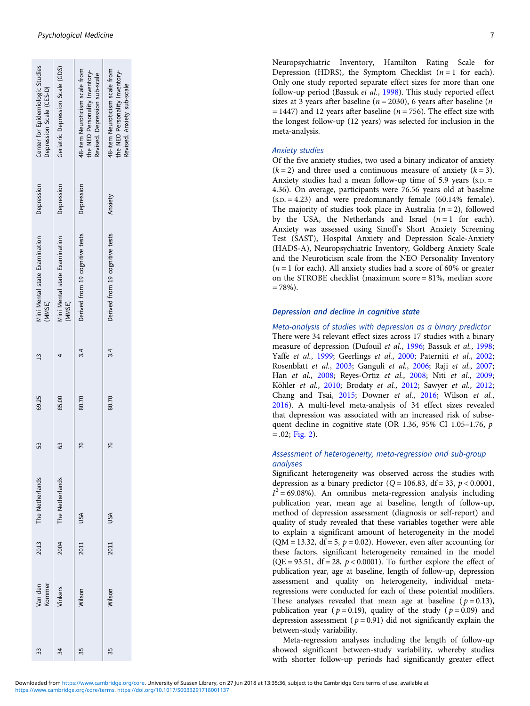| Center for Epidemiologic Studies<br>Depression Scale (CES-D) | Geriatric Depression Scale (GDS)        | 48-item Neuroticism scale from<br>the NEO Personality Inventory-<br>Revised. Depression sub-scale | 48-item Neuroticism scale from<br>the NEO Personality Inventory-<br>Revised. Anxiety sub-scale |  |
|--------------------------------------------------------------|-----------------------------------------|---------------------------------------------------------------------------------------------------|------------------------------------------------------------------------------------------------|--|
| Depression                                                   | Depression                              | Depression                                                                                        | Anxiety                                                                                        |  |
| Mini Mental state Examination<br>(MMSE)                      | Mini Mental state Examination<br>(MMSE) | Derived from 19 cognitive tests                                                                   | Derived from 19 cognitive tests                                                                |  |
| £                                                            |                                         | 3.4                                                                                               | 3.4                                                                                            |  |
| 69.25                                                        | 85.00                                   | 80.70                                                                                             | 80.70                                                                                          |  |
| S3                                                           | යි                                      | ల                                                                                                 | ٥١                                                                                             |  |
| The Netherlands                                              | 2004 The Netherlands                    |                                                                                                   |                                                                                                |  |
| 2013                                                         |                                         | 2011 USA                                                                                          | 2011 USA                                                                                       |  |
| Van den<br>Kommer                                            | Vinkers                                 | Wilson                                                                                            | Wilson                                                                                         |  |
| 33                                                           | 34                                      | 35                                                                                                | 35                                                                                             |  |

Neuropsychiatric Inventory, Hamilton Rating Scale for Depression (HDRS), the Symptom Checklist  $(n = 1$  for each). Only one study reported separate effect sizes for more than one follow-up period (Bassuk et al., [1998](#page-10-0)). This study reported effect sizes at 3 years after baseline ( $n = 2030$ ), 6 years after baseline (*n*  $= 1447$ ) and 12 years after baseline (*n* = 756). The effect size with the longest follow-up (12 years) was selected for inclusion in the meta-analysis.

# Anxiety studies

Of the five anxiety studies, two used a binary indicator of anxiety  $(k = 2)$  and three used a continuous measure of anxiety  $(k = 3)$ . Anxiety studies had a mean follow-up time of  $5.9$  years (s.p. = 4.36). On average, participants were 76.56 years old at baseline  $(S.D. = 4.23)$  and were predominantly female  $(60.14\%$  female). The majority of studies took place in Australia ( $n = 2$ ), followed by the USA, the Netherlands and Israel  $(n = 1$  for each). Anxiety was assessed using Sinoff's Short Anxiety Screening Test (SAST), Hospital Anxiety and Depression Scale-Anxiety (HADS-A), Neuropsychiatric Inventory, Goldberg Anxiety Scale and the Neuroticism scale from the NEO Personality Inventory  $(n = 1$  for each). All anxiety studies had a score of 60% or greater on the STROBE checklist (maximum score = 81%, median score  $= 78\%$ ).

# Depression and decline in cognitive state

Meta-analysis of studies with depression as a binary predictor There were 34 relevant effect sizes across 17 studies with a binary measure of depression (Dufouil et al., [1996](#page-11-0); Bassuk et al., [1998](#page-10-0); Yaffe et al., [1999](#page-12-0); Geerlings et al., [2000;](#page-11-0) Paterniti et al., [2002](#page-12-0); Rosenblatt et al., [2003;](#page-12-0) Ganguli et al., [2006](#page-11-0); Raji et al., [2007](#page-12-0); Han et al., [2008;](#page-11-0) Reyes-Ortiz et al., [2008;](#page-12-0) Niti et al., [2009](#page-11-0); Köhler et al., [2010;](#page-11-0) Brodaty et al., [2012;](#page-10-0) Sawyer et al., [2012](#page-12-0); Chang and Tsai, [2015](#page-11-0); Downer et al., [2016;](#page-11-0) Wilson et al., [2016](#page-12-0)). A multi-level meta-analysis of 34 effect sizes revealed that depression was associated with an increased risk of subsequent decline in cognitive state (OR 1.36, 95% CI 1.05–1.76, p  $= .02;$  [Fig. 2](#page-7-0)).

# Assessment of heterogeneity, meta-regression and sub-group analyses

Significant heterogeneity was observed across the studies with depression as a binary predictor ( $Q = 106.83$ , df = 33,  $p < 0.0001$ ,  $I^2$  = 69.08%). An omnibus meta-regression analysis including publication year, mean age at baseline, length of follow-up, method of depression assessment (diagnosis or self-report) and quality of study revealed that these variables together were able to explain a significant amount of heterogeneity in the model  $(OM = 13.32, df = 5, p = 0.02)$ . However, even after accounting for these factors, significant heterogeneity remained in the model (QE = 93.51, df = 28,  $p < 0.0001$ ). To further explore the effect of publication year, age at baseline, length of follow-up, depression assessment and quality on heterogeneity, individual metaregressions were conducted for each of these potential modifiers. These analyses revealed that mean age at baseline ( $p = 0.13$ ), publication year ( $p = 0.19$ ), quality of the study ( $p = 0.09$ ) and depression assessment ( $p = 0.91$ ) did not significantly explain the between-study variability.

Meta-regression analyses including the length of follow-up showed significant between-study variability, whereby studies with shorter follow-up periods had significantly greater effect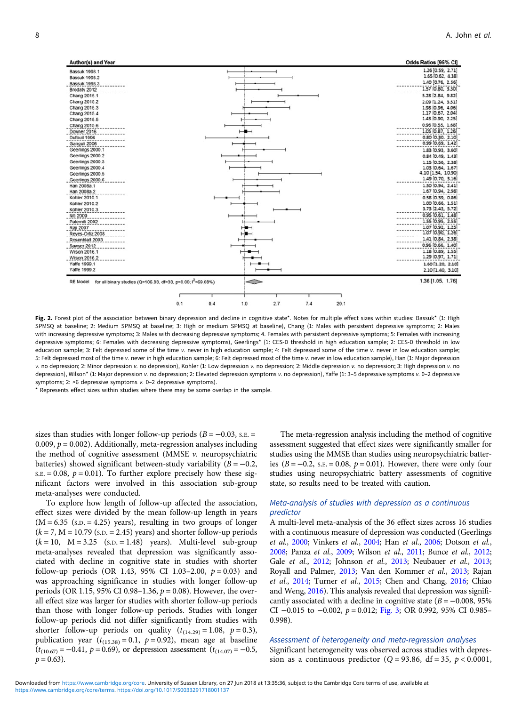<span id="page-7-0"></span>

Fig. 2. Forest plot of the association between binary depression and decline in cognitive state\*. Notes for multiple effect sizes within studies: Bassuk\* (1: High SPMSQ at baseline; 2: Medium SPMSQ at baseline; 3: High or medium SPMSQ at baseline), Chang (1: Males with persistent depressive symptoms; 2: Males with increasing depressive symptoms; 3: Males with decreasing depressive symptoms; 4. Females with persistent depressive symptoms; 5: Females with increasing depressive symptoms; 6: Females with decreasing depressive symptoms), Geerlings\* (1: CES-D threshold in high education sample; 2: CES-D threshold in low education sample; 3: Felt depressed some of the time v. never in high education sample; 4: Felt depressed some of the time v. never in low education sample; 5: Felt depressed most of the time v. never in high education sample; 6: Felt depressed most of the time v. never in low education sample), Han (1: Major depression v. no depression; 2: Minor depression v. no depression), Kohler (1: Low depression v. no depression; 2: Middle depression v. no depression; 3: High depression v. no depression), Wilson\* (1: Major depression v. no depression; 2: Elevated depression symptoms v. no depression), Yaffe (1: 3-5 depressive symptoms v. 0-2 depressive symptoms; 2: >6 depressive symptoms v. 0-2 depressive symptoms).

\* Represents effect sizes within studies where there may be some overlap in the sample.

sizes than studies with longer follow-up periods ( $B = -0.03$ , s.e. = 0.009,  $p = 0.002$ ). Additionally, meta-regression analyses including the method of cognitive assessment (MMSE  $\nu$ . neuropsychiatric batteries) showed significant between-study variability  $(B = -0.2$ ,  $s.E. = 0.08$ ,  $p = 0.01$ ). To further explore precisely how these significant factors were involved in this association sub-group meta-analyses were conducted.

To explore how length of follow-up affected the association, effect sizes were divided by the mean follow-up length in years  $(M = 6.35$  (s.p. = 4.25) years), resulting in two groups of longer  $(k = 7, M = 10.79$  (s.p. = 2.45) years) and shorter follow-up periods  $(k = 10, \quad M = 3.25 \quad (s.D. = 1.48)$  years). Multi-level sub-group meta-analyses revealed that depression was significantly associated with decline in cognitive state in studies with shorter follow-up periods (OR 1.43, 95% CI 1.03–2.00,  $p = 0.03$ ) and was approaching significance in studies with longer follow-up periods (OR 1.15, 95% CI 0.98–1.36,  $p = 0.08$ ). However, the overall effect size was larger for studies with shorter follow-up periods than those with longer follow-up periods. Studies with longer follow-up periods did not differ significantly from studies with shorter follow-up periods on quality  $(t<sub>(14.29)</sub> = 1.08, p = 0.3)$ , publication year  $(t_{(15.38)} = 0.1, p = 0.92)$ , mean age at baseline  $(t_{(10.67)} = -0.41, p = 0.69)$ , or depression assessment  $(t_{(14.07)} = -0.5,$  $p = 0.63$ ).

The meta-regression analysis including the method of cognitive assessment suggested that effect sizes were significantly smaller for studies using the MMSE than studies using neuropsychiatric batteries  $(B = -0.2, s.E. = 0.08, p = 0.01)$ . However, there were only four studies using neuropsychiatric battery assessments of cognitive state, so results need to be treated with caution.

# Meta-analysis of studies with depression as a continuous predictor

A multi-level meta-analysis of the 36 effect sizes across 16 studies with a continuous measure of depression was conducted (Geerlings et al., [2000;](#page-11-0) Vinkers et al., [2004;](#page-12-0) Han et al., [2006;](#page-11-0) Dotson et al., [2008](#page-11-0); Panza et al., [2009;](#page-12-0) Wilson et al., [2011](#page-12-0); Bunce et al., [2012;](#page-10-0) Gale et al., [2012](#page-11-0); Johnson et al., [2013;](#page-11-0) Neubauer et al., 2013; Royall and Palmer, [2013](#page-12-0); Van den Kommer et al., [2013](#page-12-0); Rajan et al., [2014;](#page-12-0) Turner et al., [2015;](#page-12-0) Chen and Chang, [2016](#page-11-0); Chiao and Weng, [2016\)](#page-11-0). This analysis revealed that depression was significantly associated with a decline in cognitive state  $(B = -0.008, 95\%)$ CI  $-0.015$  to  $-0.002$ ,  $p = 0.012$ ; [Fig. 3;](#page-8-0) OR 0.992, 95% CI 0.985– 0.998).

Assessment of heterogeneity and meta-regression analyses

Significant heterogeneity was observed across studies with depression as a continuous predictor ( $Q = 93.86$ , df = 35,  $p < 0.0001$ ,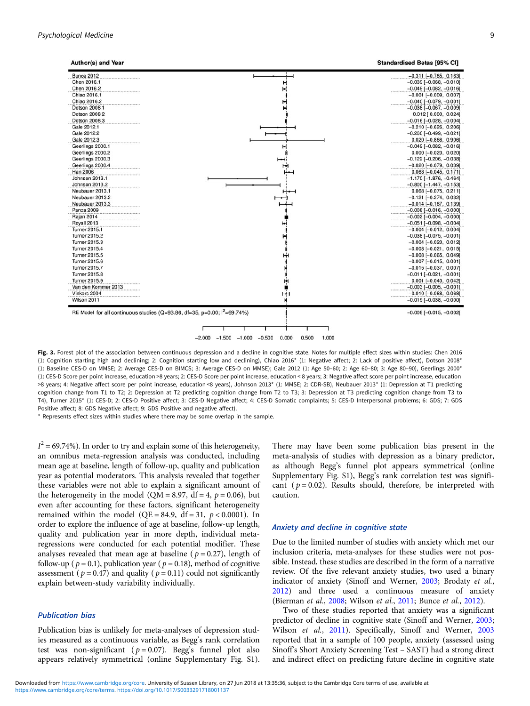<span id="page-8-0"></span>Author(s) and Year

#### **Standardised Betas [95% CI]**



Fig. 3. Forest plot of the association between continuous depression and a decline in cognitive state. Notes for multiple effect sizes within studies: Chen 2016 (1: Cognition starting high and declining; 2: Cognition starting low and declining), Chiao 2016\* (1: Negative affect; 2: Lack of positive affect), Dotson 2008\* (1: Baseline CES-D on MMSE; 2: Average CES-D on BIMCS; 3: Average CES-D on MMSE); Gale 2012 (1: Age 50–60; 2: Age 60–80; 3: Age 80–90), Geerlings 2000\* (1: CES-D Score per point increase, education >8 years; 2: CES-D Score per point increase, education < 8 years; 3: Negative affect score per point increase, education >8 years; 4: Negative affect score per point increase, education <8 years), Johnson 2013\* (1: MMSE; 2: CDR-SB), Neubauer 2013\* (1: Depression at T1 predicting cognition change from T1 to T2; 2: Depression at T2 predicting cognition change from T2 to T3; 3: Depression at T3 predicting cognition change from T3 to T4), Turner 2015\* (1: CES-D; 2: CES-D Positive affect; 3: CES-D Negative affect; 4: CES-D Somatic complaints; 5: CES-D Interpersonal problems; 6: GDS; 7: GDS Positive affect; 8: GDS Negative affect; 9: GDS Positive and negative affect).

\* Represents effect sizes within studies where there may be some overlap in the sample.

 $I^2$  = 69.74%). In order to try and explain some of this heterogeneity, an omnibus meta-regression analysis was conducted, including mean age at baseline, length of follow-up, quality and publication year as potential moderators. This analysis revealed that together these variables were not able to explain a significant amount of the heterogeneity in the model (QM = 8.97,  $df = 4$ ,  $p = 0.06$ ), but even after accounting for these factors, significant heterogeneity remained within the model (QE = 84.9, df = 31,  $p < 0.0001$ ). In order to explore the influence of age at baseline, follow-up length, quality and publication year in more depth, individual metaregressions were conducted for each potential modifier. These analyses revealed that mean age at baseline ( $p = 0.27$ ), length of follow-up ( $p = 0.1$ ), publication year ( $p = 0.18$ ), method of cognitive assessment ( $p = 0.47$ ) and quality ( $p = 0.11$ ) could not significantly explain between-study variability individually.

# Publication bias

Publication bias is unlikely for meta-analyses of depression studies measured as a continuous variable, as Begg's rank correlation test was non-significant ( $p = 0.07$ ). Begg's funnel plot also appears relatively symmetrical (online Supplementary Fig. S1).

There may have been some publication bias present in the meta-analysis of studies with depression as a binary predictor, as although Begg's funnel plot appears symmetrical (online Supplementary Fig. S1), Begg's rank correlation test was significant ( $p = 0.02$ ). Results should, therefore, be interpreted with caution.

# Anxiety and decline in cognitive state

Due to the limited number of studies with anxiety which met our inclusion criteria, meta-analyses for these studies were not possible. Instead, these studies are described in the form of a narrative review. Of the five relevant anxiety studies, two used a binary indicator of anxiety (Sinoff and Werner, [2003](#page-12-0); Brodaty et al., [2012](#page-10-0)) and three used a continuous measure of anxiety (Bierman et al., [2008](#page-10-0); Wilson et al., [2011;](#page-12-0) Bunce et al., [2012\)](#page-10-0).

Two of these studies reported that anxiety was a significant predictor of decline in cognitive state (Sinoff and Werner, [2003](#page-12-0); Wilson et al., [2011](#page-12-0)). Specifically, Sinoff and Werner, [2003](#page-12-0) reported that in a sample of 100 people, anxiety (assessed using Sinoff's Short Anxiety Screening Test – SAST) had a strong direct and indirect effect on predicting future decline in cognitive state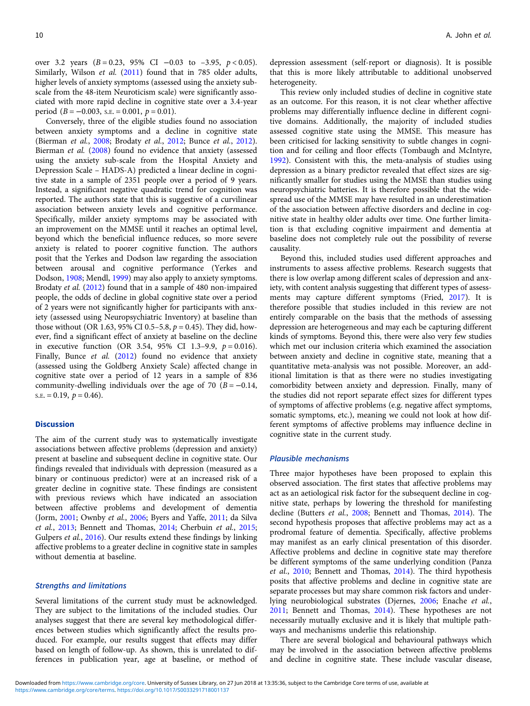over 3.2 years  $(B = 0.23, 95\% \text{ CI} -0.03 \text{ to } -3.95, p < 0.05)$ . Similarly, Wilson et al. ([2011](#page-12-0)) found that in 785 older adults, higher levels of anxiety symptoms (assessed using the anxiety subscale from the 48-item Neuroticism scale) were significantly associated with more rapid decline in cognitive state over a 3.4-year period  $(B = -0.003, s.E. = 0.001, p = 0.01)$ .

Conversely, three of the eligible studies found no association between anxiety symptoms and a decline in cognitive state (Bierman et al., [2008](#page-10-0); Brodaty et al., [2012](#page-10-0); Bunce et al., [2012\)](#page-10-0). Bierman et al. ([2008](#page-10-0)) found no evidence that anxiety (assessed using the anxiety sub-scale from the Hospital Anxiety and Depression Scale – HADS-A) predicted a linear decline in cognitive state in a sample of 2351 people over a period of 9 years. Instead, a significant negative quadratic trend for cognition was reported. The authors state that this is suggestive of a curvilinear association between anxiety levels and cognitive performance. Specifically, milder anxiety symptoms may be associated with an improvement on the MMSE until it reaches an optimal level, beyond which the beneficial influence reduces, so more severe anxiety is related to poorer cognitive function. The authors posit that the Yerkes and Dodson law regarding the association between arousal and cognitive performance (Yerkes and Dodson, [1908](#page-12-0); Mendl, [1999](#page-11-0)) may also apply to anxiety symptoms. Brodaty et al. [\(2012\)](#page-10-0) found that in a sample of 480 non-impaired people, the odds of decline in global cognitive state over a period of 2 years were not significantly higher for participants with anxiety (assessed using Neuropsychiatric Inventory) at baseline than those without (OR 1.63, 95% CI 0.5–5.8,  $p = 0.45$ ). They did, however, find a significant effect of anxiety at baseline on the decline in executive function (OR 3.54, 95% CI 1.3–9.9,  $p = 0.016$ ). Finally, Bunce et al. [\(2012\)](#page-10-0) found no evidence that anxiety (assessed using the Goldberg Anxiety Scale) affected change in cognitive state over a period of 12 years in a sample of 836 community-dwelling individuals over the age of 70 ( $B = -0.14$ ,  $s.E. = 0.19, p = 0.46$ .

# **Discussion**

The aim of the current study was to systematically investigate associations between affective problems (depression and anxiety) present at baseline and subsequent decline in cognitive state. Our findings revealed that individuals with depression (measured as a binary or continuous predictor) were at an increased risk of a greater decline in cognitive state. These findings are consistent with previous reviews which have indicated an association between affective problems and development of dementia (Jorm, [2001;](#page-11-0) Ownby et al., [2006](#page-12-0); Byers and Yaffe, [2011;](#page-11-0) da Silva et al., [2013;](#page-11-0) Bennett and Thomas, [2014;](#page-10-0) Cherbuin et al., [2015](#page-11-0); Gulpers et al., [2016\)](#page-11-0). Our results extend these findings by linking affective problems to a greater decline in cognitive state in samples without dementia at baseline.

# Strengths and limitations

Several limitations of the current study must be acknowledged. They are subject to the limitations of the included studies. Our analyses suggest that there are several key methodological differences between studies which significantly affect the results produced. For example, our results suggest that effects may differ based on length of follow-up. As shown, this is unrelated to differences in publication year, age at baseline, or method of

depression assessment (self-report or diagnosis). It is possible that this is more likely attributable to additional unobserved heterogeneity.

This review only included studies of decline in cognitive state as an outcome. For this reason, it is not clear whether affective problems may differentially influence decline in different cognitive domains. Additionally, the majority of included studies assessed cognitive state using the MMSE. This measure has been criticised for lacking sensitivity to subtle changes in cognition and for ceiling and floor effects (Tombaugh and McIntyre, [1992\)](#page-12-0). Consistent with this, the meta-analysis of studies using depression as a binary predictor revealed that effect sizes are significantly smaller for studies using the MMSE than studies using neuropsychiatric batteries. It is therefore possible that the widespread use of the MMSE may have resulted in an underestimation of the association between affective disorders and decline in cognitive state in healthy older adults over time. One further limitation is that excluding cognitive impairment and dementia at baseline does not completely rule out the possibility of reverse causality.

Beyond this, included studies used different approaches and instruments to assess affective problems. Research suggests that there is low overlap among different scales of depression and anxiety, with content analysis suggesting that different types of assessments may capture different symptoms (Fried, [2017\)](#page-11-0). It is therefore possible that studies included in this review are not entirely comparable on the basis that the methods of assessing depression are heterogeneous and may each be capturing different kinds of symptoms. Beyond this, there were also very few studies which met our inclusion criteria which examined the association between anxiety and decline in cognitive state, meaning that a quantitative meta-analysis was not possible. Moreover, an additional limitation is that as there were no studies investigating comorbidity between anxiety and depression. Finally, many of the studies did not report separate effect sizes for different types of symptoms of affective problems (e.g. negative affect symptoms, somatic symptoms, etc.), meaning we could not look at how different symptoms of affective problems may influence decline in cognitive state in the current study.

## Plausible mechanisms

Three major hypotheses have been proposed to explain this observed association. The first states that affective problems may act as an aetiological risk factor for the subsequent decline in cognitive state, perhaps by lowering the threshold for manifesting decline (Butters et al., [2008;](#page-11-0) Bennett and Thomas, [2014](#page-10-0)). The second hypothesis proposes that affective problems may act as a prodromal feature of dementia. Specifically, affective problems may manifest as an early clinical presentation of this disorder. Affective problems and decline in cognitive state may therefore be different symptoms of the same underlying condition (Panza et al., [2010;](#page-12-0) Bennett and Thomas, [2014](#page-10-0)). The third hypothesis posits that affective problems and decline in cognitive state are separate processes but may share common risk factors and underlying neurobiological substrates (Djernes, [2006](#page-11-0); Enache et al., [2011;](#page-11-0) Bennett and Thomas, [2014\)](#page-10-0). These hypotheses are not necessarily mutually exclusive and it is likely that multiple pathways and mechanisms underlie this relationship.

There are several biological and behavioural pathways which may be involved in the association between affective problems and decline in cognitive state. These include vascular disease,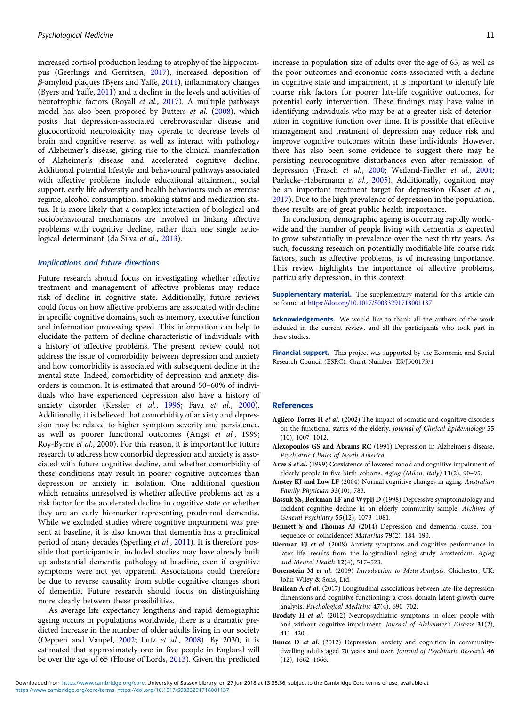<span id="page-10-0"></span>increased cortisol production leading to atrophy of the hippocampus (Geerlings and Gerritsen, [2017](#page-11-0)), increased deposition of  $\beta$ -amyloid plaques (Byers and Yaffe, [2011\)](#page-11-0), inflammatory changes (Byers and Yaffe, [2011](#page-11-0)) and a decline in the levels and activities of neurotrophic factors (Royall et al., [2017](#page-12-0)). A multiple pathways model has also been proposed by Butters et al. [\(2008](#page-11-0)), which posits that depression-associated cerebrovascular disease and glucocorticoid neurotoxicity may operate to decrease levels of brain and cognitive reserve, as well as interact with pathology of Alzheimer's disease, giving rise to the clinical manifestation of Alzheimer's disease and accelerated cognitive decline. Additional potential lifestyle and behavioural pathways associated with affective problems include educational attainment, social support, early life adversity and health behaviours such as exercise regime, alcohol consumption, smoking status and medication status. It is more likely that a complex interaction of biological and sociobehavioural mechanisms are involved in linking affective problems with cognitive decline, rather than one single aetiological determinant (da Silva et al., [2013\)](#page-11-0).

## Implications and future directions

Future research should focus on investigating whether effective treatment and management of affective problems may reduce risk of decline in cognitive state. Additionally, future reviews could focus on how affective problems are associated with decline in specific cognitive domains, such as memory, executive function and information processing speed. This information can help to elucidate the pattern of decline characteristic of individuals with a history of affective problems. The present review could not address the issue of comorbidity between depression and anxiety and how comorbidity is associated with subsequent decline in the mental state. Indeed, comorbidity of depression and anxiety disorders is common. It is estimated that around 50–60% of individuals who have experienced depression also have a history of anxiety disorder (Kessler et al., [1996;](#page-11-0) Fava et al., [2000\)](#page-11-0). Additionally, it is believed that comorbidity of anxiety and depression may be related to higher symptom severity and persistence, as well as poorer functional outcomes (Angst et al., 1999; Roy-Byrne et al., 2000). For this reason, it is important for future research to address how comorbid depression and anxiety is associated with future cognitive decline, and whether comorbidity of these conditions may result in poorer cognitive outcomes than depression or anxiety in isolation. One additional question which remains unresolved is whether affective problems act as a risk factor for the accelerated decline in cognitive state or whether they are an early biomarker representing prodromal dementia. While we excluded studies where cognitive impairment was present at baseline, it is also known that dementia has a preclinical period of many decades (Sperling et al., [2011](#page-12-0)). It is therefore possible that participants in included studies may have already built up substantial dementia pathology at baseline, even if cognitive symptoms were not yet apparent. Associations could therefore be due to reverse causality from subtle cognitive changes short of dementia. Future research should focus on distinguishing more clearly between these possibilities.

As average life expectancy lengthens and rapid demographic ageing occurs in populations worldwide, there is a dramatic predicted increase in the number of older adults living in our society (Oeppen and Vaupel, [2002;](#page-11-0) Lutz et al., [2008\)](#page-11-0). By 2030, it is estimated that approximately one in five people in England will be over the age of 65 (House of Lords, [2013](#page-11-0)). Given the predicted increase in population size of adults over the age of 65, as well as the poor outcomes and economic costs associated with a decline in cognitive state and impairment, it is important to identify life course risk factors for poorer late-life cognitive outcomes, for potential early intervention. These findings may have value in identifying individuals who may be at a greater risk of deterioration in cognitive function over time. It is possible that effective management and treatment of depression may reduce risk and improve cognitive outcomes within these individuals. However, there has also been some evidence to suggest there may be persisting neurocognitive disturbances even after remission of depression (Frasch et al., [2000](#page-11-0); Weiland-Fiedler et al., [2004](#page-12-0); Paelecke-Habermann et al., [2005](#page-12-0)). Additionally, cognition may be an important treatment target for depression (Kaser et al., [2017](#page-11-0)). Due to the high prevalence of depression in the population, these results are of great public health importance.

In conclusion, demographic ageing is occurring rapidly worldwide and the number of people living with dementia is expected to grow substantially in prevalence over the next thirty years. As such, focussing research on potentially modifiable life-course risk factors, such as affective problems, is of increasing importance. This review highlights the importance of affective problems, particularly depression, in this context.

Supplementary material. The supplementary material for this article can be found at <https://doi.org/10.1017/S0033291718001137>

Acknowledgements. We would like to thank all the authors of the work included in the current review, and all the participants who took part in these studies.

Financial support. This project was supported by the Economic and Social Research Council (ESRC). Grant Number: ES/J500173/1

# References

- Agüero-Torres H et al. (2002) The impact of somatic and cognitive disorders on the functional status of the elderly. Journal of Clinical Epidemiology 55 (10), 1007–1012.
- Alexopoulos GS and Abrams RC (1991) Depression in Alzheimer's disease. Psychiatric Clinics of North America.
- Arve S et al. (1999) Coexistence of lowered mood and cognitive impairment of elderly people in five birth cohorts. Aging (Milan, Italy) 11(2), 90–95.
- Anstey KJ and Low LF (2004) Normal cognitive changes in aging. Australian Family Physician 33(10), 783.
- Bassuk SS, Berkman LF and Wypij D (1998) Depressive symptomatology and incident cognitive decline in an elderly community sample. Archives of General Psychiatry 55(12), 1073–1081.
- Bennett S and Thomas AJ (2014) Depression and dementia: cause, consequence or coincidence? Maturitas 79(2), 184–190.
- Bierman EJ et al. (2008) Anxiety symptoms and cognitive performance in later life: results from the longitudinal aging study Amsterdam. Aging and Mental Health 12(4), 517–523.
- Borenstein M et al. (2009) Introduction to Meta-Analysis. Chichester, UK: John Wiley & Sons, Ltd.
- Brailean A et al. (2017) Longitudinal associations between late-life depression dimensions and cognitive functioning: a cross-domain latent growth curve analysis. Psychological Medicine 47(4), 690–702.
- Brodaty H et al. (2012) Neuropsychiatric symptoms in older people with and without cognitive impairment. Journal of Alzheimer's Disease 31(2), 411–420.
- Bunce D et al. (2012) Depression, anxiety and cognition in communitydwelling adults aged 70 years and over. Journal of Psychiatric Research 46 (12), 1662–1666.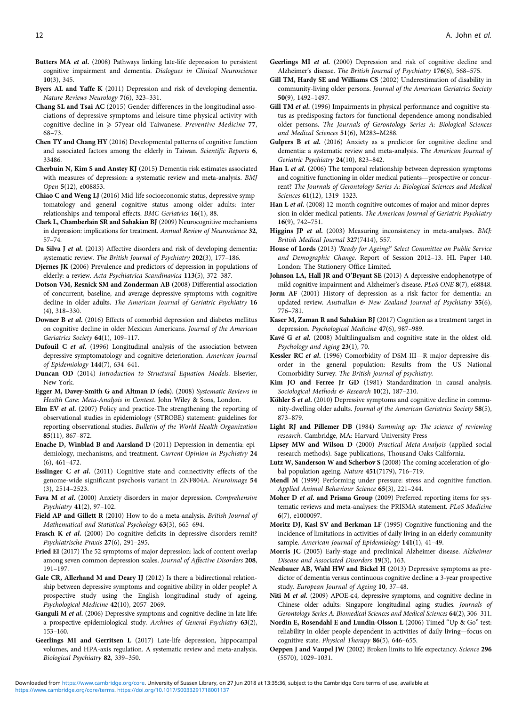- <span id="page-11-0"></span>Butters MA et al. (2008) Pathways linking late-life depression to persistent cognitive impairment and dementia. Dialogues in Clinical Neuroscience 10(3), 345.
- Byers AL and Yaffe K (2011) Depression and risk of developing dementia. Nature Reviews Neurology 7(6), 323–331.
- Chang SL and Tsai AC (2015) Gender differences in the longitudinal associations of depressive symptoms and leisure-time physical activity with cognitive decline in  $\geq$  57year-old Taiwanese. Preventive Medicine 77, 68–73.
- Chen TY and Chang HY (2016) Developmental patterns of cognitive function and associated factors among the elderly in Taiwan. Scientific Reports 6, 33486.
- Cherbuin N, Kim S and Anstey KJ (2015) Dementia risk estimates associated with measures of depression: a systematic review and meta-analysis. BMJ Open 5(12), e008853.
- Chiao C and Weng LJ (2016) Mid-life socioeconomic status, depressive symptomatology and general cognitive status among older adults: interrelationships and temporal effects. BMC Geriatrics 16(1), 88.
- Clark L, Chamberlain SR and Sahakian BJ (2009) Neurocognitive mechanisms in depression: implications for treatment. Annual Review of Neuroscience 32, 57–74.
- Da Silva J et al. (2013) Affective disorders and risk of developing dementia: systematic review. The British Journal of Psychiatry 202(3), 177–186.
- Djernes JK (2006) Prevalence and predictors of depression in populations of elderly: a review. Acta Psychiatrica Scandinavica 113(5), 372–387.
- Dotson VM, Resnick SM and Zonderman AB (2008) Differential association of concurrent, baseline, and average depressive symptoms with cognitive decline in older adults. The American Journal of Geriatric Psychiatry 16 (4), 318–330.
- Downer B et al. (2016) Effects of comorbid depression and diabetes mellitus on cognitive decline in older Mexican Americans. Journal of the American Geriatrics Society 64(1), 109–117.
- Dufouil C et al. (1996) Longitudinal analysis of the association between depressive symptomatology and cognitive deterioration. American Journal of Epidemiology 144(7), 634–641.
- Duncan OD (2014) Introduction to Structural Equation Models. Elsevier, New York.
- Egger M, Davey-Smith G and Altman D (eds). (2008) Systematic Reviews in Health Care: Meta-Analysis in Context. John Wiley & Sons, London.
- Elm EV et al. (2007) Policy and practice-The strengthening the reporting of observational studies in epidemiology (STROBE) statement: guidelines for reporting observational studies. Bulletin of the World Health Organization 85(11), 867–872.
- Enache D, Winblad B and Aarsland D (2011) Depression in dementia: epidemiology, mechanisms, and treatment. Current Opinion in Psychiatry 24 (6), 461–472.
- Esslinger C et al. (2011) Cognitive state and connectivity effects of the genome-wide significant psychosis variant in ZNF804A. Neuroimage 54 (3), 2514–2523.
- Fava M et al. (2000) Anxiety disorders in major depression. Comprehensive Psychiatry 41(2), 97–102.
- Field AP and Gillett R (2010) How to do a meta-analysis. British Journal of Mathematical and Statistical Psychology 63(3), 665–694.
- Frasch K et al. (2000) Do cognitive deficits in depressive disorders remit? Psychiatrische Praxis 27(6), 291–295.
- Fried EI (2017) The 52 symptoms of major depression: lack of content overlap among seven common depression scales. Journal of Affective Disorders 208, 191–197.
- Gale CR, Allerhand M and Deary IJ (2012) Is there a bidirectional relationship between depressive symptoms and cognitive ability in older people? A prospective study using the English longitudinal study of ageing. Psychological Medicine 42(10), 2057–2069.
- Ganguli M et al. (2006) Depressive symptoms and cognitive decline in late life: a prospective epidemiological study. Archives of General Psychiatry 63(2), 153–160.
- Geerlings MI and Gerritsen L (2017) Late-life depression, hippocampal volumes, and HPA-axis regulation. A systematic review and meta-analysis. Biological Psychiatry 82, 339–350.
- Geerlings MI et al. (2000) Depression and risk of cognitive decline and Alzheimer's disease. The British Journal of Psychiatry 176(6), 568–575.
- Gill TM, Hardy SE and Williams CS (2002) Underestimation of disability in community-living older persons. Journal of the American Geriatrics Society 50(9), 1492–1497.
- Gill TM et al. (1996) Impairments in physical performance and cognitive status as predisposing factors for functional dependence among nondisabled older persons. The Journals of Gerontology Series A: Biological Sciences and Medical Sciences 51(6), M283–M288.
- Gulpers B et al. (2016) Anxiety as a predictor for cognitive decline and dementia: a systematic review and meta-analysis. The American Journal of Geriatric Psychiatry 24(10), 823–842.
- Han L et al. (2006) The temporal relationship between depression symptoms and cognitive functioning in older medical patients—prospective or concurrent? The Journals of Gerontology Series A: Biological Sciences and Medical Sciences 61(12), 1319–1323.
- Han L et al. (2008) 12-month cognitive outcomes of major and minor depression in older medical patients. The American Journal of Geriatric Psychiatry 16(9), 742–751.
- Higgins JP et al. (2003) Measuring inconsistency in meta-analyses. BMJ: British Medical Journal 327(7414), 557.
- House of Lords (2013) 'Ready for Ageing?' Select Committee on Public Service and Demographic Change. Report of Session 2012–13. HL Paper 140. London: The Stationery Office Limited.
- Johnson LA, Hall JR and O'Bryant SE (2013) A depressive endophenotype of mild cognitive impairment and Alzheimer's disease. PLoS ONE 8(7), e68848.
- Jorm AF (2001) History of depression as a risk factor for dementia: an updated review. Australian & New Zealand Journal of Psychiatry 35(6), 776–781.
- Kaser M, Zaman R and Sahakian BJ (2017) Cognition as a treatment target in depression. Psychological Medicine 47(6), 987–989.
- Kavé G et al. (2008) Multilingualism and cognitive state in the oldest old. Psychology and Aging 23(1), 70.
- Kessler RC et al. (1996) Comorbidity of DSM-III—R major depressive disorder in the general population: Results from the US National Comorbidity Survey. The British journal of psychiatry.
- Kim JO and Ferree Jr GD (1981) Standardization in causal analysis. Sociological Methods & Research 10(2), 187-210.
- Köhler S et al. (2010) Depressive symptoms and cognitive decline in community-dwelling older adults. Journal of the American Geriatrics Society 58(5), 873–879.
- Light RJ and Pillemer DB (1984) Summing up: The science of reviewing research. Cambridge, MA: Harvard University Press
- Lipsey MW and Wilson D (2000) Practical Meta-Analysis (applied social research methods). Sage publications, Thousand Oaks California.
- Lutz W, Sanderson W and Scherbov S (2008) The coming acceleration of global population ageing. Nature 451(7179), 716–719.
- Mendl M (1999) Performing under pressure: stress and cognitive function. Applied Animal Behaviour Science 65(3), 221–244.
- Moher D et al. and Prisma Group (2009) Preferred reporting items for systematic reviews and meta-analyses: the PRISMA statement. PLoS Medicine 6(7), e1000097.
- Moritz DJ, Kasl SV and Berkman LF (1995) Cognitive functioning and the incidence of limitations in activities of daily living in an elderly community sample. American Journal of Epidemiology 141(1), 41-49.
- Morris JC (2005) Early-stage and preclinical Alzheimer disease. Alzheimer Disease and Associated Disorders 19(3), 163.
- Neubauer AB, Wahl HW and Bickel H (2013) Depressive symptoms as predictor of dementia versus continuous cognitive decline: a 3-year prospective study. European Journal of Ageing 10, 37–48.
- Niti M et al. (2009) APOE-E4, depressive symptoms, and cognitive decline in Chinese older adults: Singapore longitudinal aging studies. Journals of Gerontology Series A: Biomedical Sciences and Medical Sciences 64(2), 306–311.
- Nordin E, Rosendahl E and Lundin-Olsson L (2006) Timed "Up & Go" test: reliability in older people dependent in activities of daily living—focus on cognitive state. Physical Therapy 86(5), 646–655.
- Oeppen J and Vaupel JW (2002) Broken limits to life expectancy. Science 296 (5570), 1029–1031.